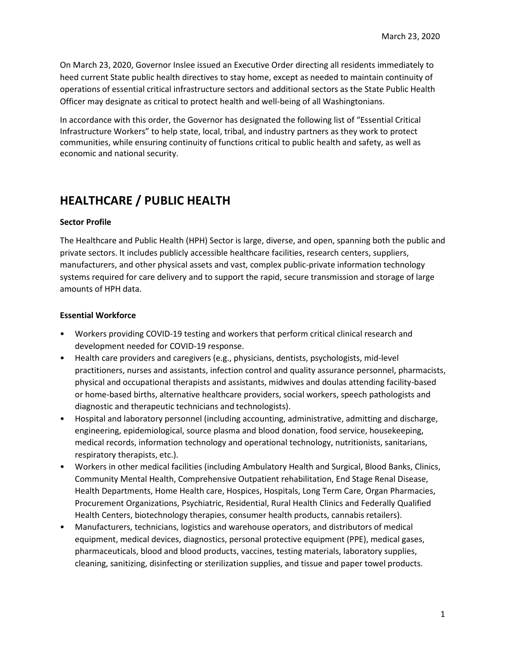On March 23, 2020, Governor Inslee issued an Executive Order directing all residents immediately to heed current State public health directives to stay home, except as needed to maintain continuity of operations of essential critical infrastructure sectors and additional sectors as the State Public Health Officer may designate as critical to protect health and well-being of all Washingtonians.

In accordance with this order, the Governor has designated the following list of "Essential Critical Infrastructure Workers" to help state, local, tribal, and industry partners as they work to protect communities, while ensuring continuity of functions critical to public health and safety, as well as economic and national security.

# **HEALTHCARE / PUBLIC HEALTH**

## **Sector Profile**

The Healthcare and Public Health (HPH) Sector is large, diverse, and open, spanning both the public and private sectors. It includes publicly accessible healthcare facilities, research centers, suppliers, manufacturers, and other physical assets and vast, complex public-private information technology systems required for care delivery and to support the rapid, secure transmission and storage of large amounts of HPH data.

- Workers providing COVID-19 testing and workers that perform critical clinical research and development needed for COVID-19 response.
- Health care providers and caregivers (e.g., physicians, dentists, psychologists, mid-level practitioners, nurses and assistants, infection control and quality assurance personnel, pharmacists, physical and occupational therapists and assistants, midwives and doulas attending facility-based or home-based births, alternative healthcare providers, social workers, speech pathologists and diagnostic and therapeutic technicians and technologists).
- Hospital and laboratory personnel (including accounting, administrative, admitting and discharge, engineering, epidemiological, source plasma and blood donation, food service, housekeeping, medical records, information technology and operational technology, nutritionists, sanitarians, respiratory therapists, etc.).
- Workers in other medical facilities (including Ambulatory Health and Surgical, Blood Banks, Clinics, Community Mental Health, Comprehensive Outpatient rehabilitation, End Stage Renal Disease, Health Departments, Home Health care, Hospices, Hospitals, Long Term Care, Organ Pharmacies, Procurement Organizations, Psychiatric, Residential, Rural Health Clinics and Federally Qualified Health Centers, biotechnology therapies, consumer health products, cannabis retailers).
- Manufacturers, technicians, logistics and warehouse operators, and distributors of medical equipment, medical devices, diagnostics, personal protective equipment (PPE), medical gases, pharmaceuticals, blood and blood products, vaccines, testing materials, laboratory supplies, cleaning, sanitizing, disinfecting or sterilization supplies, and tissue and paper towel products.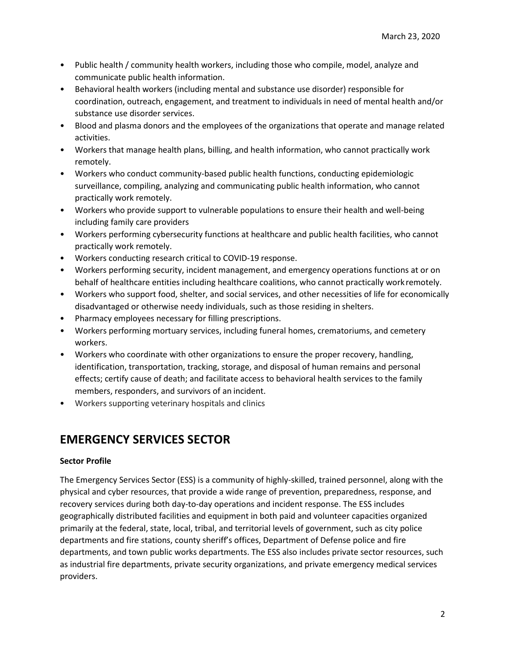- Public health / community health workers, including those who compile, model, analyze and communicate public health information.
- Behavioral health workers (including mental and substance use disorder) responsible for coordination, outreach, engagement, and treatment to individuals in need of mental health and/or substance use disorder services.
- Blood and plasma donors and the employees of the organizations that operate and manage related activities.
- Workers that manage health plans, billing, and health information, who cannot practically work remotely.
- Workers who conduct community-based public health functions, conducting epidemiologic surveillance, compiling, analyzing and communicating public health information, who cannot practically work remotely.
- Workers who provide support to vulnerable populations to ensure their health and well-being including family care providers
- Workers performing cybersecurity functions at healthcare and public health facilities, who cannot practically work remotely.
- Workers conducting research critical to COVID-19 response.
- Workers performing security, incident management, and emergency operations functions at or on behalf of healthcare entities including healthcare coalitions, who cannot practically work remotely.
- Workers who support food, shelter, and social services, and other necessities of life for economically disadvantaged or otherwise needy individuals, such as those residing in shelters.
- Pharmacy employees necessary for filling prescriptions.
- Workers performing mortuary services, including funeral homes, crematoriums, and cemetery workers.
- Workers who coordinate with other organizations to ensure the proper recovery, handling, identification, transportation, tracking, storage, and disposal of human remains and personal effects; certify cause of death; and facilitate access to behavioral health services to the family members, responders, and survivors of an incident.
- Workers supporting veterinary hospitals and clinics

# **EMERGENCY SERVICES SECTOR**

## **Sector Profile**

The Emergency Services Sector (ESS) is a community of highly-skilled, trained personnel, along with the physical and cyber resources, that provide a wide range of prevention, preparedness, response, and recovery services during both day-to-day operations and incident response. The ESS includes geographically distributed facilities and equipment in both paid and volunteer capacities organized primarily at the federal, state, local, tribal, and territorial levels of government, such as city police departments and fire stations, county sheriff's offices, Department of Defense police and fire departments, and town public works departments. The ESS also includes private sector resources, such as industrial fire departments, private security organizations, and private emergency medical services providers.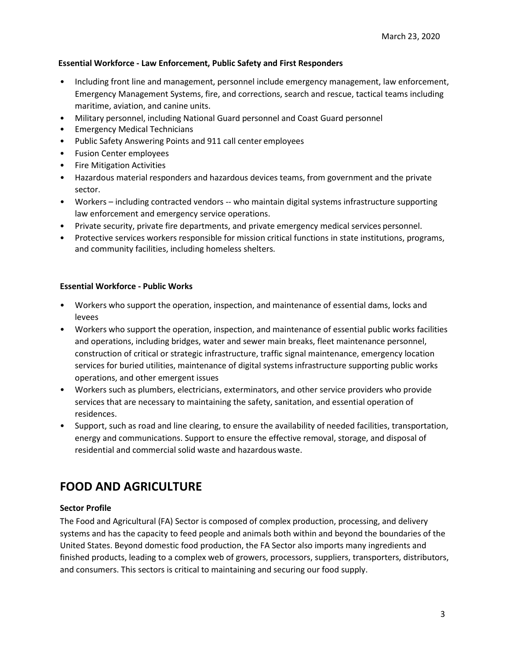## **Essential Workforce - Law Enforcement, Public Safety and First Responders**

- Including front line and management, personnel include emergency management, law enforcement, Emergency Management Systems, fire, and corrections, search and rescue, tactical teams including maritime, aviation, and canine units.
- Military personnel, including National Guard personnel and Coast Guard personnel
- Emergency Medical Technicians
- Public Safety Answering Points and 911 call center employees
- Fusion Center employees
- Fire Mitigation Activities
- Hazardous material responders and hazardous devices teams, from government and the private sector.
- Workers including contracted vendors -- who maintain digital systems infrastructure supporting law enforcement and emergency service operations.
- Private security, private fire departments, and private emergency medical services personnel.
- Protective services workers responsible for mission critical functions in state institutions, programs, and community facilities, including homeless shelters.

## **Essential Workforce - Public Works**

- Workers who support the operation, inspection, and maintenance of essential dams, locks and levees
- Workers who support the operation, inspection, and maintenance of essential public works facilities and operations, including bridges, water and sewer main breaks, fleet maintenance personnel, construction of critical or strategic infrastructure, traffic signal maintenance, emergency location services for buried utilities, maintenance of digital systems infrastructure supporting public works operations, and other emergent issues
- Workers such as plumbers, electricians, exterminators, and other service providers who provide services that are necessary to maintaining the safety, sanitation, and essential operation of residences.
- Support, such as road and line clearing, to ensure the availability of needed facilities, transportation, energy and communications. Support to ensure the effective removal, storage, and disposal of residential and commercial solid waste and hazardous waste.

# **FOOD AND AGRICULTURE**

## **Sector Profile**

The Food and Agricultural (FA) Sector is composed of complex production, processing, and delivery systems and has the capacity to feed people and animals both within and beyond the boundaries of the United States. Beyond domestic food production, the FA Sector also imports many ingredients and finished products, leading to a complex web of growers, processors, suppliers, transporters, distributors, and consumers. This sectors is critical to maintaining and securing our food supply.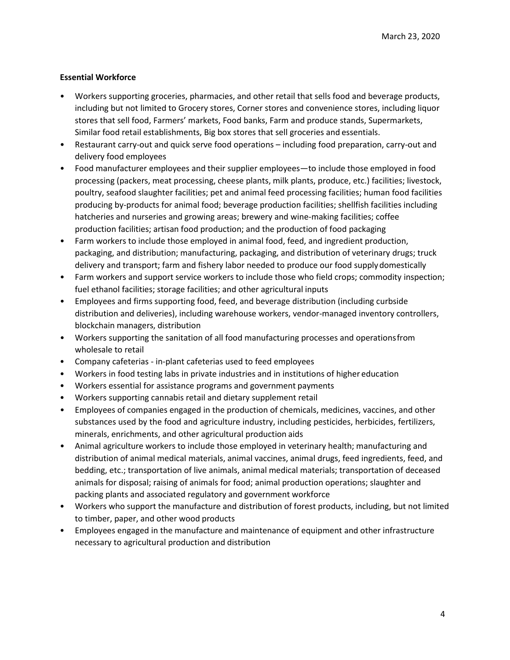- Workers supporting groceries, pharmacies, and other retail that sells food and beverage products, including but not limited to Grocery stores, Corner stores and convenience stores, including liquor stores that sell food, Farmers' markets, Food banks, Farm and produce stands, Supermarkets, Similar food retail establishments, Big box stores that sell groceries and essentials.
- Restaurant carry-out and quick serve food operations including food preparation, carry-out and delivery food employees
- Food manufacturer employees and their supplier employees—to include those employed in food processing (packers, meat processing, cheese plants, milk plants, produce, etc.) facilities; livestock, poultry, seafood slaughter facilities; pet and animal feed processing facilities; human food facilities producing by-products for animal food; beverage production facilities; shellfish facilities including hatcheries and nurseries and growing areas; brewery and wine-making facilities; coffee production facilities; artisan food production; and the production of food packaging
- Farm workers to include those employed in animal food, feed, and ingredient production, packaging, and distribution; manufacturing, packaging, and distribution of veterinary drugs; truck delivery and transport; farm and fishery labor needed to produce our food supplydomestically
- Farm workers and support service workers to include those who field crops; commodity inspection; fuel ethanol facilities; storage facilities; and other agricultural inputs
- Employees and firms supporting food, feed, and beverage distribution (including curbside distribution and deliveries), including warehouse workers, vendor-managed inventory controllers, blockchain managers, distribution
- Workers supporting the sanitation of all food manufacturing processes and operationsfrom wholesale to retail
- Company cafeterias in-plant cafeterias used to feed employees
- Workers in food testing labs in private industries and in institutions of higher education
- Workers essential for assistance programs and government payments
- Workers supporting cannabis retail and dietary supplement retail
- Employees of companies engaged in the production of chemicals, medicines, vaccines, and other substances used by the food and agriculture industry, including pesticides, herbicides, fertilizers, minerals, enrichments, and other agricultural production aids
- Animal agriculture workers to include those employed in veterinary health; manufacturing and distribution of animal medical materials, animal vaccines, animal drugs, feed ingredients, feed, and bedding, etc.; transportation of live animals, animal medical materials; transportation of deceased animals for disposal; raising of animals for food; animal production operations; slaughter and packing plants and associated regulatory and government workforce
- Workers who support the manufacture and distribution of forest products, including, but not limited to timber, paper, and other wood products
- Employees engaged in the manufacture and maintenance of equipment and other infrastructure necessary to agricultural production and distribution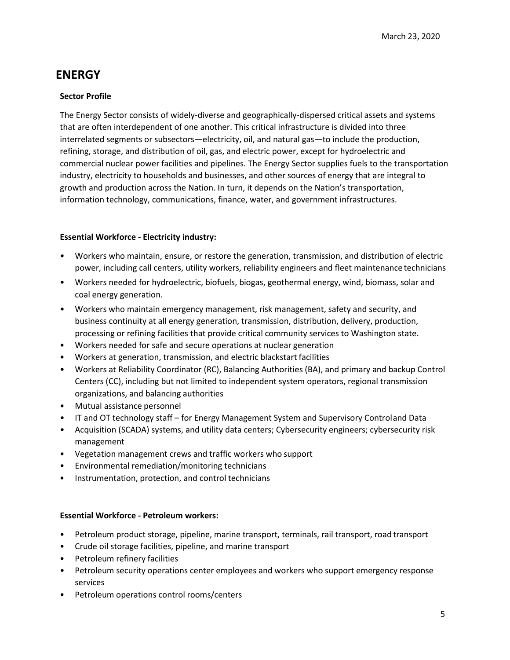## **ENERGY**

## **Sector Profile**

The Energy Sector consists of widely-diverse and geographically-dispersed critical assets and systems that are often interdependent of one another. This critical infrastructure is divided into three interrelated segments or subsectors—electricity, oil, and natural gas—to include the production, refining, storage, and distribution of oil, gas, and electric power, except for hydroelectric and commercial nuclear power facilities and pipelines. The Energy Sector supplies fuels to the transportation industry, electricity to households and businesses, and other sources of energy that are integral to growth and production across the Nation. In turn, it depends on the Nation's transportation, information technology, communications, finance, water, and government infrastructures.

## **Essential Workforce - Electricity industry:**

- Workers who maintain, ensure, or restore the generation, transmission, and distribution of electric power, including call centers, utility workers, reliability engineers and fleet maintenance technicians
- Workers needed for hydroelectric, biofuels, biogas, geothermal energy, wind, biomass, solar and coal energy generation.
- Workers who maintain emergency management, risk management, safety and security, and business continuity at all energy generation, transmission, distribution, delivery, production, processing or refining facilities that provide critical community services to Washington state.
- Workers needed for safe and secure operations at nuclear generation
- Workers at generation, transmission, and electric blackstart facilities
- Workers at Reliability Coordinator (RC), Balancing Authorities (BA), and primary and backup Control Centers (CC), including but not limited to independent system operators, regional transmission organizations, and balancing authorities
- Mutual assistance personnel
- IT and OT technology staff for Energy Management System and Supervisory Controland Data
- Acquisition (SCADA) systems, and utility data centers; Cybersecurity engineers; cybersecurity risk management
- Vegetation management crews and traffic workers who support
- Environmental remediation/monitoring technicians
- Instrumentation, protection, and control technicians

## **Essential Workforce - Petroleum workers:**

- Petroleum product storage, pipeline, marine transport, terminals, rail transport, road transport
- Crude oil storage facilities, pipeline, and marine transport
- Petroleum refinery facilities
- Petroleum security operations center employees and workers who support emergency response services
- Petroleum operations control rooms/centers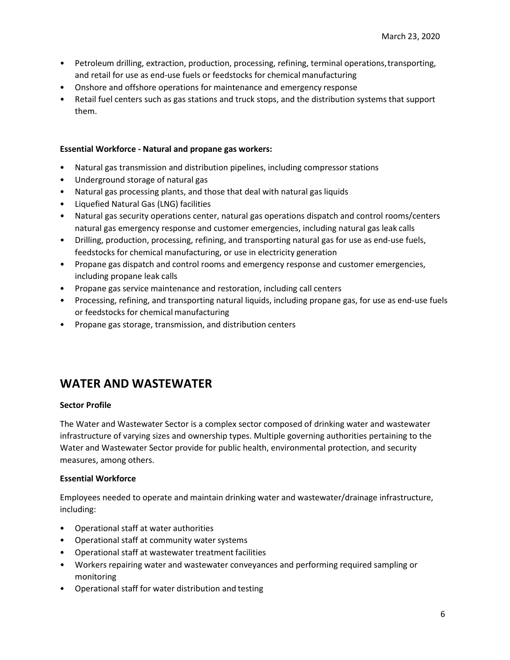- Petroleum drilling, extraction, production, processing, refining, terminal operations,transporting, and retail for use as end-use fuels or feedstocks for chemical manufacturing
- Onshore and offshore operations for maintenance and emergency response
- Retail fuel centers such as gas stations and truck stops, and the distribution systems that support them.

#### **Essential Workforce - Natural and propane gas workers:**

- Natural gas transmission and distribution pipelines, including compressor stations
- Underground storage of natural gas
- Natural gas processing plants, and those that deal with natural gas liquids
- Liquefied Natural Gas (LNG) facilities
- Natural gas security operations center, natural gas operations dispatch and control rooms/centers natural gas emergency response and customer emergencies, including natural gas leak calls
- Drilling, production, processing, refining, and transporting natural gas for use as end-use fuels, feedstocks for chemical manufacturing, or use in electricity generation
- Propane gas dispatch and control rooms and emergency response and customer emergencies, including propane leak calls
- Propane gas service maintenance and restoration, including call centers
- Processing, refining, and transporting natural liquids, including propane gas, for use as end-use fuels or feedstocks for chemical manufacturing
- Propane gas storage, transmission, and distribution centers

# **WATER AND WASTEWATER**

## **Sector Profile**

The Water and Wastewater Sector is a complex sector composed of drinking water and wastewater infrastructure of varying sizes and ownership types. Multiple governing authorities pertaining to the Water and Wastewater Sector provide for public health, environmental protection, and security measures, among others.

## **Essential Workforce**

Employees needed to operate and maintain drinking water and wastewater/drainage infrastructure, including:

- Operational staff at water authorities
- Operational staff at community water systems
- Operational staff at wastewater treatment facilities
- Workers repairing water and wastewater conveyances and performing required sampling or monitoring
- Operational staff for water distribution and testing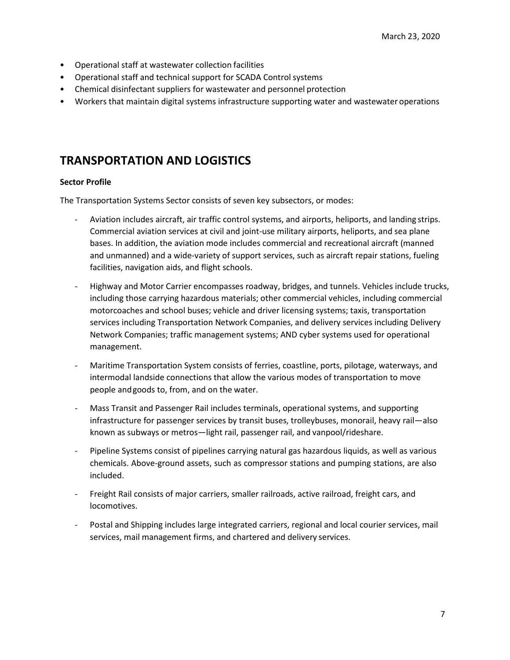- Operational staff at wastewater collection facilities
- Operational staff and technical support for SCADA Control systems
- Chemical disinfectant suppliers for wastewater and personnel protection
- Workers that maintain digital systems infrastructure supporting water and wastewater operations

## **TRANSPORTATION AND LOGISTICS**

#### **Sector Profile**

The Transportation Systems Sector consists of seven key subsectors, or modes:

- Aviation includes aircraft, air traffic control systems, and airports, heliports, and landing strips. Commercial aviation services at civil and joint-use military airports, heliports, and sea plane bases. In addition, the aviation mode includes commercial and recreational aircraft (manned and unmanned) and a wide-variety of support services, such as aircraft repair stations, fueling facilities, navigation aids, and flight schools.
- Highway and Motor Carrier encompasses roadway, bridges, and tunnels. Vehicles include trucks, including those carrying hazardous materials; other commercial vehicles, including commercial motorcoaches and school buses; vehicle and driver licensing systems; taxis, transportation services including Transportation Network Companies, and delivery services including Delivery Network Companies; traffic management systems; AND cyber systems used for operational management.
- Maritime Transportation System consists of ferries, coastline, ports, pilotage, waterways, and intermodal landside connections that allow the various modes of transportation to move people andgoods to, from, and on the water.
- Mass Transit and Passenger Rail includes terminals, operational systems, and supporting infrastructure for passenger services by transit buses, trolleybuses, monorail, heavy rail—also known as subways or metros—light rail, passenger rail, and vanpool/rideshare.
- Pipeline Systems consist of pipelines carrying natural gas hazardous liquids, as well as various chemicals. Above-ground assets, such as compressor stations and pumping stations, are also included.
- Freight Rail consists of major carriers, smaller railroads, active railroad, freight cars, and locomotives.
- Postal and Shipping includes large integrated carriers, regional and local courier services, mail services, mail management firms, and chartered and delivery services.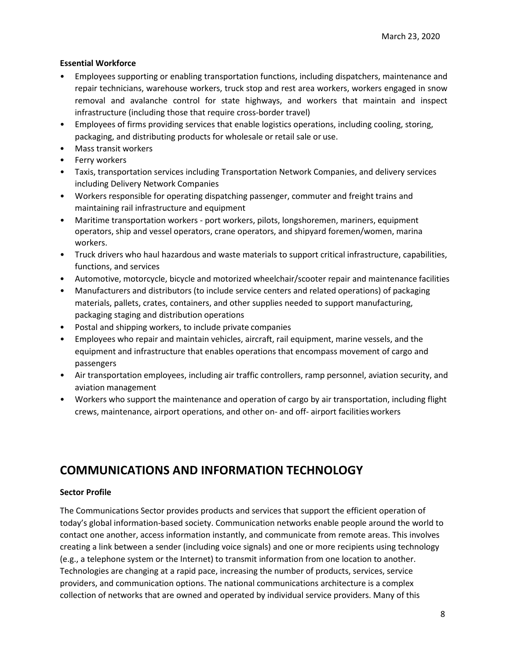## **Essential Workforce**

- Employees supporting or enabling transportation functions, including dispatchers, maintenance and repair technicians, warehouse workers, truck stop and rest area workers, workers engaged in snow removal and avalanche control for state highways, and workers that maintain and inspect infrastructure (including those that require cross-border travel)
- Employees of firms providing services that enable logistics operations, including cooling, storing, packaging, and distributing products for wholesale or retail sale or use.
- Mass transit workers
- Ferry workers
- Taxis, transportation services including Transportation Network Companies, and delivery services including Delivery Network Companies
- Workers responsible for operating dispatching passenger, commuter and freight trains and maintaining rail infrastructure and equipment
- Maritime transportation workers port workers, pilots, longshoremen, mariners, equipment operators, ship and vessel operators, crane operators, and shipyard foremen/women, marina workers.
- Truck drivers who haul hazardous and waste materials to support critical infrastructure, capabilities, functions, and services
- Automotive, motorcycle, bicycle and motorized wheelchair/scooter repair and maintenance facilities
- Manufacturers and distributors (to include service centers and related operations) of packaging materials, pallets, crates, containers, and other supplies needed to support manufacturing, packaging staging and distribution operations
- Postal and shipping workers, to include private companies
- Employees who repair and maintain vehicles, aircraft, rail equipment, marine vessels, and the equipment and infrastructure that enables operations that encompass movement of cargo and passengers
- Air transportation employees, including air traffic controllers, ramp personnel, aviation security, and aviation management
- Workers who support the maintenance and operation of cargo by air transportation, including flight crews, maintenance, airport operations, and other on- and off- airport facilities workers

# **COMMUNICATIONS AND INFORMATION TECHNOLOGY**

## **Sector Profile**

The Communications Sector provides products and services that support the efficient operation of today's global information-based society. Communication networks enable people around the world to contact one another, access information instantly, and communicate from remote areas. This involves creating a link between a sender (including voice signals) and one or more recipients using technology (e.g., a telephone system or the Internet) to transmit information from one location to another. Technologies are changing at a rapid pace, increasing the number of products, services, service providers, and communication options. The national communications architecture is a complex collection of networks that are owned and operated by individual service providers. Many of this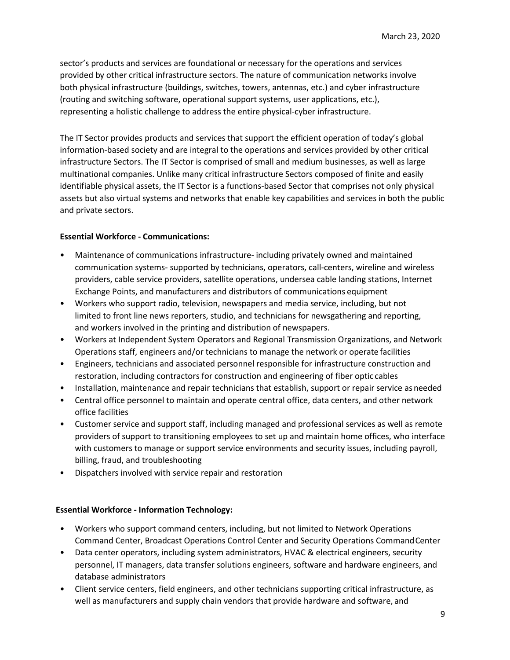sector's products and services are foundational or necessary for the operations and services provided by other critical infrastructure sectors. The nature of communication networks involve both physical infrastructure (buildings, switches, towers, antennas, etc.) and cyber infrastructure (routing and switching software, operational support systems, user applications, etc.), representing a holistic challenge to address the entire physical-cyber infrastructure.

The IT Sector provides products and services that support the efficient operation of today's global information-based society and are integral to the operations and services provided by other critical infrastructure Sectors. The IT Sector is comprised of small and medium businesses, as well as large multinational companies. Unlike many critical infrastructure Sectors composed of finite and easily identifiable physical assets, the IT Sector is a functions-based Sector that comprises not only physical assets but also virtual systems and networks that enable key capabilities and services in both the public and private sectors.

#### **Essential Workforce - Communications:**

- Maintenance of communications infrastructure- including privately owned and maintained communication systems- supported by technicians, operators, call-centers, wireline and wireless providers, cable service providers, satellite operations, undersea cable landing stations, Internet Exchange Points, and manufacturers and distributors of communications equipment
- Workers who support radio, television, newspapers and media service, including, but not limited to front line news reporters, studio, and technicians for newsgathering and reporting, and workers involved in the printing and distribution of newspapers.
- Workers at Independent System Operators and Regional Transmission Organizations, and Network Operations staff, engineers and/or technicians to manage the network or operate facilities
- Engineers, technicians and associated personnel responsible for infrastructure construction and restoration, including contractors for construction and engineering of fiber optic cables
- Installation, maintenance and repair technicians that establish, support or repair service asneeded
- Central office personnel to maintain and operate central office, data centers, and other network office facilities
- Customer service and support staff, including managed and professional services as well as remote providers of support to transitioning employees to set up and maintain home offices, who interface with customers to manage or support service environments and security issues, including payroll, billing, fraud, and troubleshooting
- Dispatchers involved with service repair and restoration

#### **Essential Workforce - Information Technology:**

- Workers who support command centers, including, but not limited to Network Operations Command Center, Broadcast Operations Control Center and Security Operations CommandCenter
- Data center operators, including system administrators, HVAC & electrical engineers, security personnel, IT managers, data transfer solutions engineers, software and hardware engineers, and database administrators
- Client service centers, field engineers, and other technicians supporting critical infrastructure, as well as manufacturers and supply chain vendors that provide hardware and software, and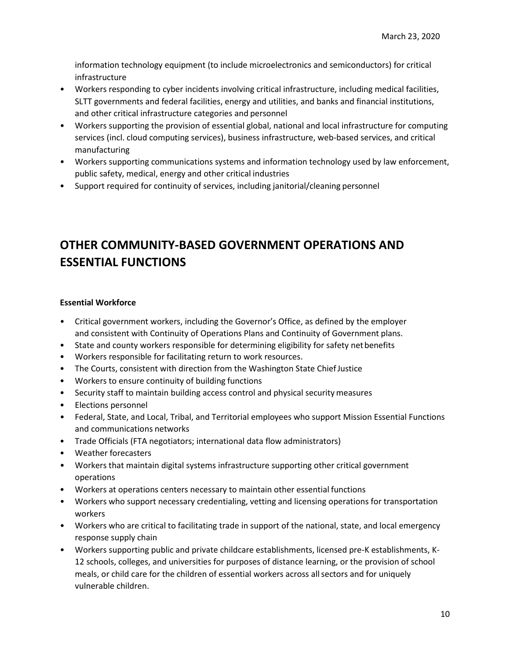information technology equipment (to include microelectronics and semiconductors) for critical infrastructure

- Workers responding to cyber incidents involving critical infrastructure, including medical facilities, SLTT governments and federal facilities, energy and utilities, and banks and financial institutions, and other critical infrastructure categories and personnel
- Workers supporting the provision of essential global, national and local infrastructure for computing services (incl. cloud computing services), business infrastructure, web-based services, and critical manufacturing
- Workers supporting communications systems and information technology used by law enforcement, public safety, medical, energy and other critical industries
- Support required for continuity of services, including janitorial/cleaning personnel

# **OTHER COMMUNITY-BASED GOVERNMENT OPERATIONS AND ESSENTIAL FUNCTIONS**

- Critical government workers, including the Governor's Office, as defined by the employer and consistent with Continuity of Operations Plans and Continuity of Government plans.
- State and county workers responsible for determining eligibility for safety netbenefits
- Workers responsible for facilitating return to work resources.
- The Courts, consistent with direction from the Washington State ChiefJustice
- Workers to ensure continuity of building functions
- Security staff to maintain building access control and physical securitymeasures
- Elections personnel
- Federal, State, and Local, Tribal, and Territorial employees who support Mission Essential Functions and communications networks
- Trade Officials (FTA negotiators; international data flow administrators)
- Weather forecasters
- Workers that maintain digital systems infrastructure supporting other critical government operations
- Workers at operations centers necessary to maintain other essential functions
- Workers who support necessary credentialing, vetting and licensing operations for transportation workers
- Workers who are critical to facilitating trade in support of the national, state, and local emergency response supply chain
- Workers supporting public and private childcare establishments, licensed pre-K establishments, K-12 schools, colleges, and universities for purposes of distance learning, or the provision of school meals, or child care for the children of essential workers across allsectors and for uniquely vulnerable children.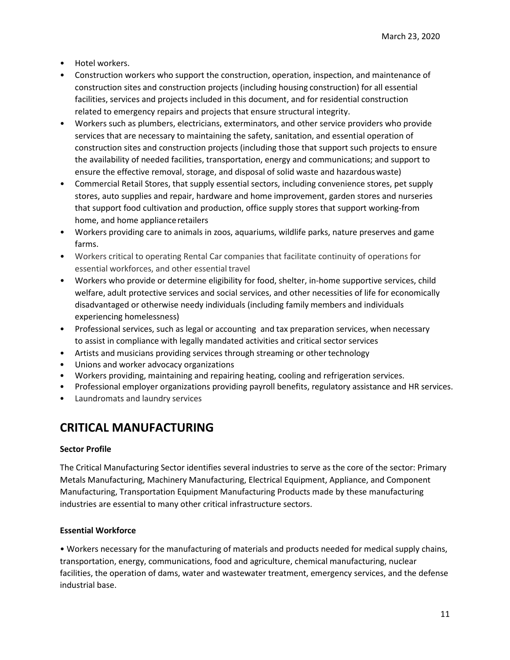- Hotel workers.
- Construction workers who support the construction, operation, inspection, and maintenance of construction sites and construction projects (including housing construction) for all essential facilities, services and projects included in this document, and for residential construction related to emergency repairs and projects that ensure structural integrity.
- Workers such as plumbers, electricians, exterminators, and other service providers who provide services that are necessary to maintaining the safety, sanitation, and essential operation of construction sites and construction projects (including those that support such projects to ensure the availability of needed facilities, transportation, energy and communications; and support to ensure the effective removal, storage, and disposal of solid waste and hazardous waste)
- Commercial Retail Stores, that supply essential sectors, including convenience stores, pet supply stores, auto supplies and repair, hardware and home improvement, garden stores and nurseries that support food cultivation and production, office supply stores that support working-from home, and home appliance retailers
- Workers providing care to animals in zoos, aquariums, wildlife parks, nature preserves and game farms.
- Workers critical to operating Rental Car companies that facilitate continuity of operations for essential workforces, and other essential travel
- Workers who provide or determine eligibility for food, shelter, in-home supportive services, child welfare, adult protective services and social services, and other necessities of life for economically disadvantaged or otherwise needy individuals (including family members and individuals experiencing homelessness)
- Professional services, such as legal or accounting and tax preparation services, when necessary to assist in compliance with legally mandated activities and critical sector services
- Artists and musicians providing services through streaming or other technology
- Unions and worker advocacy organizations
- Workers providing, maintaining and repairing heating, cooling and refrigeration services.
- Professional employer organizations providing payroll benefits, regulatory assistance and HR services.
- Laundromats and laundry services

## **CRITICAL MANUFACTURING**

## **Sector Profile**

The Critical Manufacturing Sector identifies several industries to serve as the core of the sector: Primary Metals Manufacturing, Machinery Manufacturing, Electrical Equipment, Appliance, and Component Manufacturing, Transportation Equipment Manufacturing Products made by these manufacturing industries are essential to many other critical infrastructure sectors.

## **Essential Workforce**

• Workers necessary for the manufacturing of materials and products needed for medical supply chains, transportation, energy, communications, food and agriculture, chemical manufacturing, nuclear facilities, the operation of dams, water and wastewater treatment, emergency services, and the defense industrial base.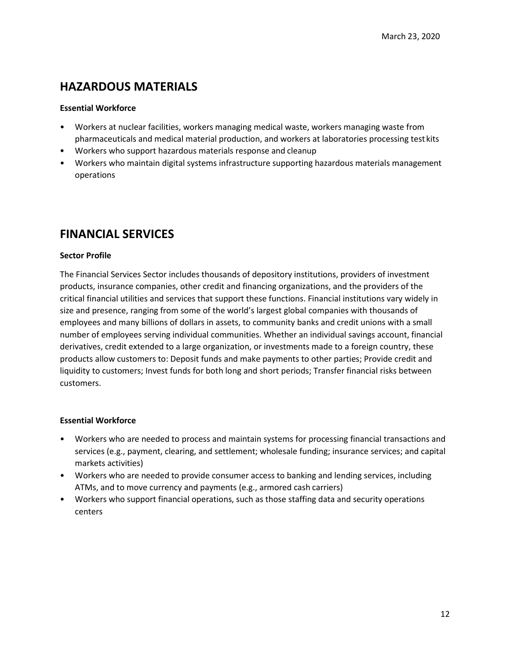# **HAZARDOUS MATERIALS**

#### **Essential Workforce**

- Workers at nuclear facilities, workers managing medical waste, workers managing waste from pharmaceuticals and medical material production, and workers at laboratories processing test kits
- Workers who support hazardous materials response and cleanup
- Workers who maintain digital systems infrastructure supporting hazardous materials management operations

## **FINANCIAL SERVICES**

## **Sector Profile**

The Financial Services Sector includes thousands of depository institutions, providers of investment products, insurance companies, other credit and financing organizations, and the providers of the critical financial utilities and services that support these functions. Financial institutions vary widely in size and presence, ranging from some of the world's largest global companies with thousands of employees and many billions of dollars in assets, to community banks and credit unions with a small number of employees serving individual communities. Whether an individual savings account, financial derivatives, credit extended to a large organization, or investments made to a foreign country, these products allow customers to: Deposit funds and make payments to other parties; Provide credit and liquidity to customers; Invest funds for both long and short periods; Transfer financial risks between customers.

- Workers who are needed to process and maintain systems for processing financial transactions and services (e.g., payment, clearing, and settlement; wholesale funding; insurance services; and capital markets activities)
- Workers who are needed to provide consumer access to banking and lending services, including ATMs, and to move currency and payments (e.g., armored cash carriers)
- Workers who support financial operations, such as those staffing data and security operations centers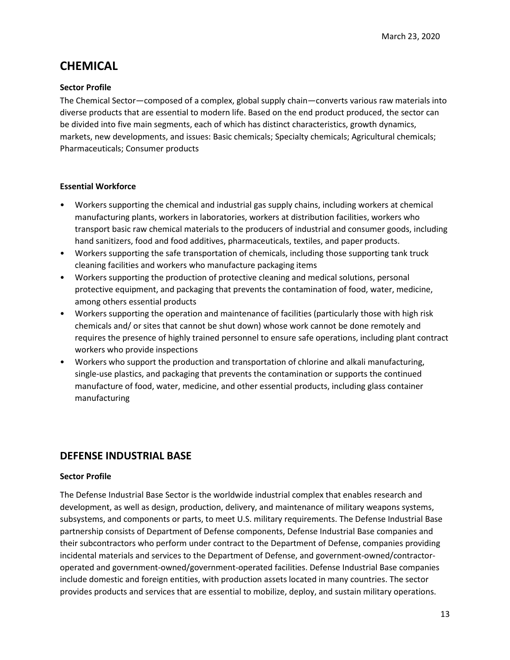## **CHEMICAL**

## **Sector Profile**

The Chemical Sector—composed of a complex, global supply chain—converts various raw materials into diverse products that are essential to modern life. Based on the end product produced, the sector can be divided into five main segments, each of which has distinct characteristics, growth dynamics, markets, new developments, and issues: Basic chemicals; Specialty chemicals; Agricultural chemicals; Pharmaceuticals; Consumer products

## **Essential Workforce**

- Workers supporting the chemical and industrial gas supply chains, including workers at chemical manufacturing plants, workers in laboratories, workers at distribution facilities, workers who transport basic raw chemical materials to the producers of industrial and consumer goods, including hand sanitizers, food and food additives, pharmaceuticals, textiles, and paper products.
- Workers supporting the safe transportation of chemicals, including those supporting tank truck cleaning facilities and workers who manufacture packaging items
- Workers supporting the production of protective cleaning and medical solutions, personal protective equipment, and packaging that prevents the contamination of food, water, medicine, among others essential products
- Workers supporting the operation and maintenance of facilities (particularly those with high risk chemicals and/ or sites that cannot be shut down) whose work cannot be done remotely and requires the presence of highly trained personnel to ensure safe operations, including plant contract workers who provide inspections
- Workers who support the production and transportation of chlorine and alkali manufacturing, single-use plastics, and packaging that prevents the contamination or supports the continued manufacture of food, water, medicine, and other essential products, including glass container manufacturing

## **DEFENSE INDUSTRIAL BASE**

## **Sector Profile**

The Defense Industrial Base Sector is the worldwide industrial complex that enables research and development, as well as design, production, delivery, and maintenance of military weapons systems, subsystems, and components or parts, to meet U.S. military requirements. The Defense Industrial Base partnership consists of Department of Defense components, Defense Industrial Base companies and their subcontractors who perform under contract to the Department of Defense, companies providing incidental materials and services to the Department of Defense, and government-owned/contractoroperated and government-owned/government-operated facilities. Defense Industrial Base companies include domestic and foreign entities, with production assets located in many countries. The sector provides products and services that are essential to mobilize, deploy, and sustain military operations.